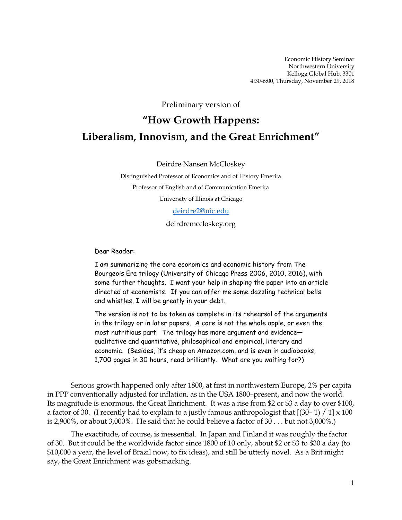Economic History Seminar Northwestern University Kellogg Global Hub, 3301 4:30-6:00, Thursday, November 29, 2018

Preliminary version of

## **"How Growth Happens: Liberalism, Innovism, and the Great Enrichment"**

Deirdre Nansen McCloskey

Distinguished Professor of Economics and of History Emerita Professor of English and of Communication Emerita University of Illinois at Chicago

[deirdre2@uic.edu](mailto:deirdre2@uic.edu)

deirdremccloskey.org

Dear Reader:

I am summarizing the core economics and economic history from The Bourgeois Era trilogy (University of Chicago Press 2006, 2010, 2016), with some further thoughts. I want your help in shaping the paper into an article directed at economists. If you can offer me some dazzling technical bells and whistles, I will be greatly in your debt.

The version is not to be taken as complete in its rehearsal of the arguments in the trilogy or in later papers. A core is not the whole apple, or even the most nutritious part! The trilogy has more argument and evidence qualitative and quantitative, philosophical and empirical, literary and economic. (Besides, it's cheap on Amazon.com, and is even in audiobooks, 1,700 pages in 30 hours, read brilliantly. What are you waiting for?)

Serious growth happened only after 1800, at first in northwestern Europe, 2% per capita in PPP conventionally adjusted for inflation, as in the USA 1800–present, and now the world. Its magnitude is enormous, the Great Enrichment. It was a rise from \$2 or \$3 a day to over \$100, a factor of 30. (I recently had to explain to a justly famous anthropologist that  $[(30-1)/1] \times 100$ is 2,900%, or about 3,000%. He said that he could believe a factor of 30 . . . but not 3,000%.)

The exactitude, of course, is inessential. In Japan and Finland it was roughly the factor of 30. But it could be the worldwide factor since 1800 of 10 only, about \$2 or \$3 to \$30 a day (to \$10,000 a year, the level of Brazil now, to fix ideas), and still be utterly novel. As a Brit might say, the Great Enrichment was gobsmacking.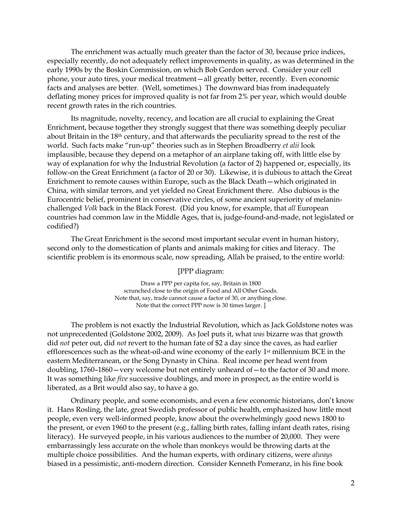The enrichment was actually much greater than the factor of 30, because price indices, especially recently, do not adequately reflect improvements in quality, as was determined in the early 1990s by the Boskin Commission, on which Bob Gordon served. Consider your cell phone, your auto tires, your medical treatment—all greatly better, recently. Even economic facts and analyses are better. (Well, sometimes.) The downward bias from inadequately deflating money prices for improved quality is not far from 2% per year, which would double recent growth rates in the rich countries.

Its magnitude, novelty, recency, and location are all crucial to explaining the Great Enrichment, because together they strongly suggest that there was something deeply peculiar about Britain in the 18th century, and that afterwards the peculiarity spread to the rest of the world. Such facts make "run-up" theories such as in Stephen Broadberry *et alii* look implausible, because they depend on a metaphor of an airplane taking off, with little else by way of explanation for why the Industrial Revolution (a factor of 2) happened or, especially, its follow-on the Great Enrichment (a factor of 20 or 30). Likewise, it is dubious to attach the Great Enrichment to remote causes within Europe, such as the Black Death—which originated in China, with similar terrors, and yet yielded no Great Enrichment there. Also dubious is the Eurocentric belief, prominent in conservative circles, of some ancient superiority of melaninchallenged *Volk* back in the Black Forest. (Did you know, for example, that *all* European countries had common law in the Middle Ages, that is, judge-found-and-made, not legislated or codified?)

The Great Enrichment is the second most important secular event in human history, second only to the domestication of plants and animals making for cities and literacy. The scientific problem is its enormous scale, now spreading, Allah be praised, to the entire world:

## [PPP diagram:

Draw a PPP per capita for, say, Britain in 1800 scrunched close to the origin of Food and All Other Goods. Note that, say, trade cannot cause a factor of 30, or anything close. Note that the correct PPP now is 30 times larger. ]

The problem is not exactly the Industrial Revolution, which as Jack Goldstone notes was not unprecedented (Goldstone 2002, 2009). As Joel puts it, what *was* bizarre was that growth did *not* peter out, did *not* revert to the human fate of \$2 a day since the caves, as had earlier efflorescences such as the wheat-oil-and wine economy of the early 1st millennium BCE in the eastern Mediterranean, or the Song Dynasty in China. Real income per head went from doubling, 1760–1860—very welcome but not entirely unheard of—to the factor of 30 and more. It was something like *five* successive doublings, and more in prospect, as the entire world is liberated, as a Brit would also say, to have a go.

Ordinary people, and some economists, and even a few economic historians, don't know it. Hans Rosling, the late, great Swedish professor of public health, emphasized how little most people, even very well-informed people, know about the overwhelmingly good news 1800 to the present, or even 1960 to the present (e.g., falling birth rates, falling infant death rates, rising literacy). He surveyed people, in his various audiences to the number of 20,000. They were embarrassingly less accurate on the whole than monkeys would be throwing darts at the multiple choice possibilities. And the human experts, with ordinary citizens, were *always* biased in a pessimistic, anti-modern direction. Consider Kenneth Pomeranz, in his fine book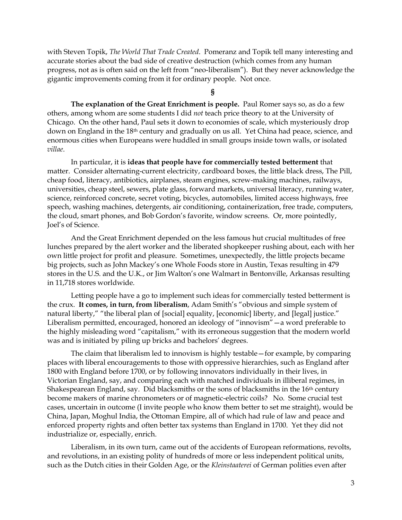with Steven Topik, *The World That Trade Created*. Pomeranz and Topik tell many interesting and accurate stories about the bad side of creative destruction (which comes from any human progress, not as is often said on the left from "neo-liberalism"). But they never acknowledge the gigantic improvements coming from it for ordinary people. Not once.

**§**

**The explanation of the Great Enrichment is people.** Paul Romer says so, as do a few others, among whom are some students I did *not* teach price theory to at the University of Chicago. On the other hand, Paul sets it down to economies of scale, which mysteriously drop down on England in the 18<sup>th</sup> century and gradually on us all. Yet China had peace, science, and enormous cities when Europeans were huddled in small groups inside town walls, or isolated *villae*.

In particular, it is **ideas that people have for commercially tested betterment** that matter. Consider alternating-current electricity, cardboard boxes, the little black dress, The Pill, cheap food, literacy, antibiotics, airplanes, steam engines, screw-making machines, railways, universities, cheap steel, sewers, plate glass, forward markets, universal literacy, running water, science, reinforced concrete, secret voting, bicycles, automobiles, limited access highways, free speech, washing machines, detergents, air conditioning, containerization, free trade, computers, the cloud, smart phones, and Bob Gordon's favorite, window screens. Or, more pointedly, Joel's of Science.

And the Great Enrichment depended on the less famous hut crucial multitudes of free lunches prepared by the alert worker and the liberated shopkeeper rushing about, each with her own little project for profit and pleasure. Sometimes, unexpectedly, the little projects became big projects, such as John Mackey's one Whole Foods store in Austin, Texas resulting in 479 stores in the U.S. and the U.K., or Jim Walton's one Walmart in Bentonville, Arkansas resulting in 11,718 stores worldwide.

Letting people have a go to implement such ideas for commercially tested betterment is the crux. **It comes, in turn, from liberalism**, Adam Smith's "obvious and simple system of natural liberty," "the liberal plan of [social] equality, [economic] liberty, and [legal] justice." Liberalism permitted, encouraged, honored an ideology of "innovism"—a word preferable to the highly misleading word "capitalism," with its erroneous suggestion that the modern world was and is initiated by piling up bricks and bachelors' degrees.

The claim that liberalism led to innovism is highly testable—for example, by comparing places with liberal encouragements to those with oppressive hierarchies, such as England after 1800 with England before 1700, or by following innovators individually in their lives, in Victorian England, say, and comparing each with matched individuals in illiberal regimes, in Shakespearean England, say. Did blacksmiths or the sons of blacksmiths in the 16<sup>th</sup> century become makers of marine chronometers or of magnetic-electric coils? No. Some crucial test cases, uncertain in outcome (I invite people who know them better to set me straight), would be China, Japan, Moghul India, the Ottoman Empire, all of which had rule of law and peace and enforced property rights and often better tax systems than England in 1700. Yet they did not industrialize or, especially, enrich.

Liberalism, in its own turn, came out of the accidents of European reformations, revolts, and revolutions, in an existing polity of hundreds of more or less independent political units, such as the Dutch cities in their Golden Age, or the *Kleinstaaterei* of German polities even after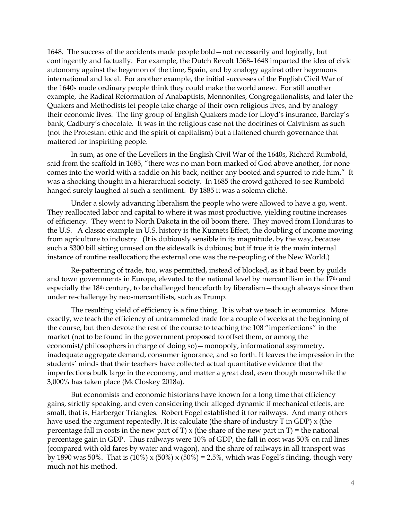1648. The success of the accidents made people bold—not necessarily and logically, but contingently and factually. For example, the Dutch Revolt 1568–1648 imparted the idea of civic autonomy against the hegemon of the time, Spain, and by analogy against other hegemons international and local. For another example, the initial successes of the English Civil War of the 1640s made ordinary people think they could make the world anew. For still another example, the Radical Reformation of Anabaptists, Mennonites, Congregationalists, and later the Quakers and Methodists let people take charge of their own religious lives, and by analogy their economic lives. The tiny group of English Quakers made for Lloyd's insurance, Barclay's bank, Cadbury's chocolate. It was in the religious case not the doctrines of Calvinism as such (not the Protestant ethic and the spirit of capitalism) but a flattened church governance that mattered for inspiriting people.

In sum, as one of the Levellers in the English Civil War of the 1640s, Richard Rumbold, said from the scaffold in 1685, "there was no man born marked of God above another, for none comes into the world with a saddle on his back, neither any booted and spurred to ride him." It was a shocking thought in a hierarchical society. In 1685 the crowd gathered to see Rumbold hanged surely laughed at such a sentiment. By 1885 it was a solemn cliché.

Under a slowly advancing liberalism the people who were allowed to have a go, went. They reallocated labor and capital to where it was most productive, yielding routine increases of efficiency. They went to North Dakota in the oil boom there. They moved from Honduras to the U.S. A classic example in U.S. history is the Kuznets Effect, the doubling of income moving from agriculture to industry. (It is dubiously sensible in its magnitude, by the way, because such a \$300 bill sitting unused on the sidewalk is dubious; but if true it is the main internal instance of routine reallocation; the external one was the re-peopling of the New World.)

Re-patterning of trade, too, was permitted, instead of blocked, as it had been by guilds and town governments in Europe, elevated to the national level by mercantilism in the 17<sup>th</sup> and especially the  $18<sup>th</sup>$  century, to be challenged henceforth by liberalism – though always since then under re-challenge by neo-mercantilists, such as Trump.

The resulting yield of efficiency is a fine thing. It is what we teach in economics. More exactly, we teach the efficiency of untrammeled trade for a couple of weeks at the beginning of the course, but then devote the rest of the course to teaching the 108 "imperfections" in the market (not to be found in the government proposed to offset them, or among the economist/philosophers in charge of doing so)—monopoly, informational asymmetry, inadequate aggregate demand, consumer ignorance, and so forth. It leaves the impression in the students' minds that their teachers have collected actual quantitative evidence that the imperfections bulk large in the economy, and matter a great deal, even though meanwhile the 3,000% has taken place (McCloskey 2018a).

But economists and economic historians have known for a long time that efficiency gains, strictly speaking, and even considering their alleged dynamic if mechanical effects, are small, that is, Harberger Triangles. Robert Fogel established it for railways. And many others have used the argument repeatedly. It is: calculate (the share of industry  $T$  in GDP)  $\times$  (the percentage fall in costs in the new part of T) x (the share of the new part in T) = the national percentage gain in GDP. Thus railways were 10% of GDP, the fall in cost was 50% on rail lines (compared with old fares by water and wagon), and the share of railways in all transport was by 1890 was 50%. That is (10%) x (50%) x (50%) = 2.5%, which was Fogel's finding, though very much not his method.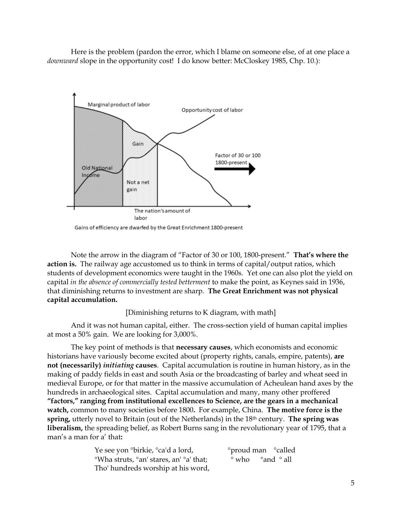Here is the problem (pardon the error, which I blame on someone else, of at one place a *downward* slope in the opportunity cost! I do know better: McCloskey 1985, Chp. 10.):



Gains of efficiency are dwarfed by the Great Enrichment 1800-present

Note the arrow in the diagram of "Factor of 30 or 100, 1800-present." **That's where the action is.** The railway age accustomed us to think in terms of capital/output ratios, which students of development economics were taught in the 1960s. Yet one can also plot the yield on capital *in the absence of commercially tested betterment* to make the point, as Keynes said in 1936, that diminishing returns to investment are sharp. **The Great Enrichment was not physical capital accumulation.**

[Diminishing returns to K diagram, with math]

And it was not human capital, either. The cross-section yield of human capital implies at most a 50% gain. We are looking for 3,000%.

The key point of methods is that **necessary causes**, which economists and economic historians have variously become excited about (property rights, canals, empire, patents), **are not (necessarily)** *initiating* **causes**. Capital accumulation is routine in human history, as in the making of paddy fields in east and south Asia or the broadcasting of barley and wheat seed in medieval Europe, or for that matter in the massive accumulation of Acheulean hand axes by the hundreds in archaeological sites. Capital accumulation and many, many other proffered **"factors," ranging from institutional excellences to Science, are the gears in a mechanical watch,** common to many societies before 1800**.** For example, China. **The motive force is the**  spring, utterly novel to Britain (out of the Netherlands) in the 18<sup>th</sup> century. The spring was **liberalism,** the spreading belief, as Robert Burns sang in the revolutionary year of 1795, that a man's a man for a' that**:**

| Ye see yon <sup>o</sup> birkie, <sup>o</sup> ca'd a lord,                   | °proud man °called                        |
|-----------------------------------------------------------------------------|-------------------------------------------|
| <sup>o</sup> Wha struts, <sup>o</sup> an' stares, an' <sup>o</sup> a' that; | $\degree$ who $\degree$ and $\degree$ all |
| Tho' hundreds worship at his word,                                          |                                           |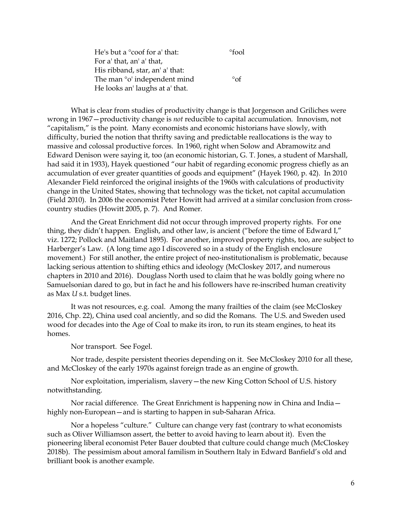He's but a  $\degree$ coof for a' that:  $\degree$ fool For a' that, an' a' that, His ribband, star, an' a' that: The man  $\degree$ o' independent mind  $\degree$ of He looks an' laughs at a' that.

What is clear from studies of productivity change is that Jorgenson and Griliches were wrong in 1967—productivity change is *not* reducible to capital accumulation. Innovism, not "capitalism," is the point. Many economists and economic historians have slowly, with difficulty, buried the notion that thrifty saving and predictable reallocations is the way to massive and colossal productive forces. In 1960, right when Solow and Abramowitz and Edward Denison were saying it, too (an economic historian, G. T. Jones, a student of Marshall, had said it in 1933), Hayek questioned "our habit of regarding economic progress chiefly as an accumulation of ever greater quantities of goods and equipment" (Hayek 1960, p. 42). In 2010 Alexander Field reinforced the original insights of the 1960s with calculations of productivity change in the United States, showing that technology was the ticket, not capital accumulation (Field 2010). In 2006 the economist Peter Howitt had arrived at a similar conclusion from crosscountry studies (Howitt 2005, p. 7). And Romer.

And the Great Enrichment did not occur through improved property rights. For one thing, they didn't happen. English, and other law, is ancient ("before the time of Edward I," viz. 1272; Pollock and Maitland 1895). For another, improved property rights, too, are subject to Harberger's Law. (A long time ago I discovered so in a study of the English enclosure movement.) For still another, the entire project of neo-institutionalism is problematic, because lacking serious attention to shifting ethics and ideology (McCloskey 2017, and numerous chapters in 2010 and 2016). Douglass North used to claim that he was boldly going where no Samuelsonian dared to go, but in fact he and his followers have re-inscribed human creativity as Max *U* s.t. budget lines.

It was not resources, e.g. coal. Among the many frailties of the claim (see McCloskey 2016, Chp. 22), China used coal anciently, and so did the Romans. The U.S. and Sweden used wood for decades into the Age of Coal to make its iron, to run its steam engines, to heat its homes.

Nor transport. See Fogel.

Nor trade, despite persistent theories depending on it. See McCloskey 2010 for all these, and McCloskey of the early 1970s against foreign trade as an engine of growth.

Nor exploitation, imperialism, slavery—the new King Cotton School of U.S. history notwithstanding.

Nor racial difference. The Great Enrichment is happening now in China and India highly non-European—and is starting to happen in sub-Saharan Africa.

Nor a hopeless "culture." Culture can change very fast (contrary to what economists such as Oliver Williamson assert, the better to avoid having to learn about it). Even the pioneering liberal economist Peter Bauer doubted that culture could change much (McCloskey 2018b). The pessimism about amoral familism in Southern Italy in Edward Banfield's old and brilliant book is another example.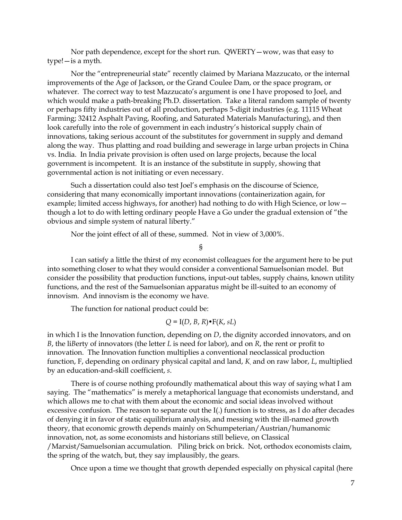Nor path dependence, except for the short run. QWERTY—wow, was that easy to type!—is a myth.

Nor the "entrepreneurial state" recently claimed by Mariana Mazzucato, or the internal improvements of the Age of Jackson, or the Grand Coulee Dam, or the space program, or whatever. The correct way to test Mazzucato's argument is one I have proposed to Joel, and which would make a path-breaking Ph.D. dissertation. Take a literal random sample of twenty or perhaps fifty industries out of all production, perhaps 5-digit industries (e.g. 11115 Wheat Farming; 32412 Asphalt Paving, Roofing, and Saturated Materials Manufacturing), and then look carefully into the role of government in each industry's historical supply chain of innovations, taking serious account of the substitutes for government in supply and demand along the way. Thus platting and road building and sewerage in large urban projects in China vs. India. In India private provision is often used on large projects, because the local government is incompetent. It is an instance of the substitute in supply, showing that governmental action is not initiating or even necessary.

Such a dissertation could also test Joel's emphasis on the discourse of Science, considering that many economically important innovations (containerization again, for example; limited access highways, for another) had nothing to do with High Science, or low though a lot to do with letting ordinary people Have a Go under the gradual extension of "the obvious and simple system of natural liberty."

Nor the joint effect of all of these, summed. Not in view of 3,000%.

§

I can satisfy a little the thirst of my economist colleagues for the argument here to be put into something closer to what they would consider a conventional Samuelsonian model. But consider the possibility that production functions, input-out tables, supply chains, known utility functions, and the rest of the Samuelsonian apparatus might be ill-suited to an economy of innovism. And innovism is the economy we have.

The function for national product could be:

$$
Q = I(D, B, R) \bullet F(K, sL)
$$

in which I is the Innovation function, depending on *D*, the dignity accorded innovators, and on *B*, the li*B*erty of innovators (the letter *L* is need for labor), and on *R*, the rent or profit to innovation. The Innovation function multiplies a conventional neoclassical production function, F, depending on ordinary physical capital and land, *K*, and on raw labor, *L*, multiplied by an education-and-skill coefficient, *s*.

There is of course nothing profoundly mathematical about this way of saying what I am saying. The "mathematics" is merely a metaphorical language that economists understand, and which allows me to chat with them about the economic and social ideas involved without excessive confusion. The reason to separate out the I(.) function is to stress, as I do after decades of denying it in favor of static equilibrium analysis, and messing with the ill-named growth theory, that economic growth depends mainly on Schumpeterian/Austrian/humanomic innovation, not, as some economists and historians still believe, on Classical /Marxist/Samuelsonian accumulation. Piling brick on brick. Not, orthodox economists claim, the spring of the watch, but, they say implausibly, the gears.

Once upon a time we thought that growth depended especially on physical capital (here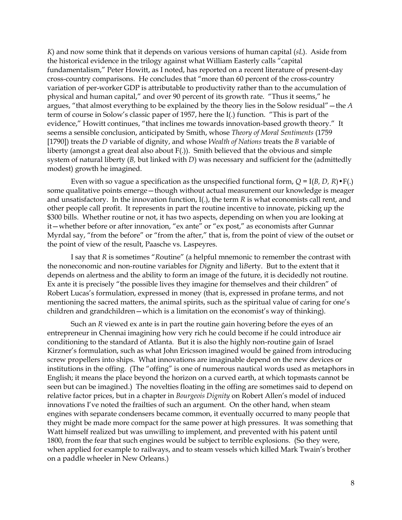*K*) and now some think that it depends on various versions of human capital (*sL*). Aside from the historical evidence in the trilogy against what William Easterly calls "capital fundamentalism," Peter Howitt, as I noted, has reported on a recent literature of present-day cross-country comparisons. He concludes that "more than 60 percent of the cross-country variation of per-worker GDP is attributable to productivity rather than to the accumulation of physical and human capital," and over 90 percent of its growth rate. "Thus it seems," he argues, "that almost everything to be explained by the theory lies in the Solow residual"—the *A*  term of course in Solow's classic paper of 1957, here the I(.) function. "This is part of the evidence," Howitt continues, "that inclines me towards innovation-based growth theory." It seems a sensible conclusion, anticipated by Smith, whose *Theory of Moral Sentiments* (1759 [1790]) treats the *D* variable of dignity, and whose *Wealth of Nations* treats the *B* variable of liberty (amongst a great deal also about  $F(.)$ ). Smith believed that the obvious and simple system of natural liberty (*B,* but linked with *D*) was necessary and sufficient for the (admittedly modest) growth he imagined.

Even with so vague a specification as the unspecified functional form, *Q* = I(*B, D, R*)•F(.) some qualitative points emerge—though without actual measurement our knowledge is meager and unsatisfactory. In the innovation function, I(.), the term *R* is what economists call rent, and other people call profit. It represents in part the routine incentive to innovate, picking up the \$300 bills. Whether routine or not, it has two aspects, depending on when you are looking at it—whether before or after innovation, "ex ante" or "ex post," as economists after Gunnar Myrdal say, "from the before" or "from the after," that is, from the point of view of the outset or the point of view of the result, Paasche vs. Laspeyres.

I say that *R* is sometimes "*R*outine" (a helpful mnemonic to remember the contrast with the noneconomic and non-routine variables for *D*ignity and li*B*erty. But to the extent that it depends on alertness and the ability to form an image of the future, it is decidedly not routine. Ex ante it is precisely "the possible lives they imagine for themselves and their children" of Robert Lucas's formulation, expressed in money (that is, expressed in profane terms, and not mentioning the sacred matters, the animal spirits, such as the spiritual value of caring for one's children and grandchildren—which is a limitation on the economist's way of thinking).

Such an *R* viewed ex ante is in part the routine gain hovering before the eyes of an entrepreneur in Chennai imagining how very rich he could become if he could introduce air conditioning to the standard of Atlanta. But it is also the highly non-routine gain of Israel Kirzner's formulation, such as what John Ericsson imagined would be gained from introducing screw propellers into ships. What innovations are imaginable depend on the new devices or institutions in the offing. (The "offing" is one of numerous nautical words used as metaphors in English; it means the place beyond the horizon on a curved earth, at which topmasts cannot be seen but can be imagined.) The novelties floating in the offing are sometimes said to depend on relative factor prices, but in a chapter in *Bourgeois Dignity* on Robert Allen's model of induced innovations I've noted the frailties of such an argument. On the other hand, when steam engines with separate condensers became common, it eventually occurred to many people that they might be made more compact for the same power at high pressures. It was something that Watt himself realized but was unwilling to implement, and prevented with his patent until 1800, from the fear that such engines would be subject to terrible explosions. (So they were, when applied for example to railways, and to steam vessels which killed Mark Twain's brother on a paddle wheeler in New Orleans.)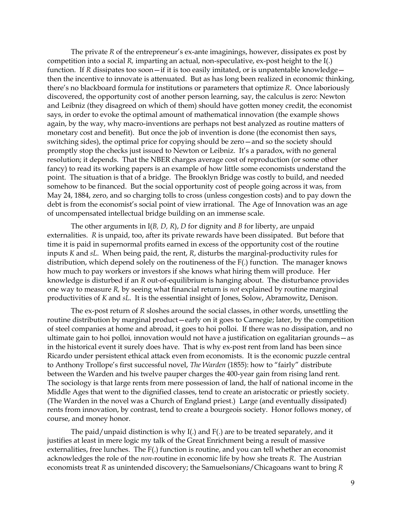The private *R* of the entrepreneur's ex-ante imaginings, however, dissipates ex post by competition into a social *R,* imparting an actual, non-speculative, ex-post height to the I(.) function. If *R* dissipates too soon—if it is too easily imitated, or is unpatentable knowledge then the incentive to innovate is attenuated. But as has long been realized in economic thinking, there's no blackboard formula for institutions or parameters that optimize *R*. Once laboriously discovered, the opportunity cost of another person learning, say, the calculus is zero: Newton and Leibniz (they disagreed on which of them) should have gotten money credit, the economist says, in order to evoke the optimal amount of mathematical innovation (the example shows again, by the way, why macro-inventions are perhaps not best analyzed as routine matters of monetary cost and benefit). But once the job of invention is done (the economist then says, switching sides), the optimal price for copying should be zero—and so the society should promptly stop the checks just issued to Newton or Leibniz. It's a paradox, with no general resolution; it depends. That the NBER charges average cost of reproduction (or some other fancy) to read its working papers is an example of how little some economists understand the point. The situation is that of a bridge. The Brooklyn Bridge was costly to build, and needed somehow to be financed. But the social opportunity cost of people going across it was, from May 24, 1884, zero, and so charging tolls to cross (unless congestion costs) and to pay down the debt is from the economist's social point of view irrational. The Age of Innovation was an age of uncompensated intellectual bridge building on an immense scale.

The other arguments in I(*B, D, R*), *D* for dignity and *B* for liberty, are unpaid externalities. *R* is unpaid, too, after its private rewards have been dissipated. But before that time it is paid in supernormal profits earned in excess of the opportunity cost of the routine inputs *K* and *sL*. When being paid, the rent, *R*, disturbs the marginal-productivity rules for distribution, which depend solely on the routineness of the F(.) function. The manager knows how much to pay workers or investors if she knows what hiring them will produce. Her knowledge is disturbed if an *R* out-of-equilibrium is hanging about. The disturbance provides one way to measure *R,* by seeing what financial return is *not* explained by routine marginal productivities of *K* and *sL*. It is the essential insight of Jones, Solow, Abramowitz, Denison.

The ex-post return of *R* sloshes around the social classes, in other words, unsettling the routine distribution by marginal product—early on it goes to Carnegie; later, by the competition of steel companies at home and abroad, it goes to hoi polloi*.* If there was no dissipation, and no ultimate gain to hoi polloi*,* innovation would not have a justification on egalitarian grounds—as in the historical event it surely does have. That is why ex-post rent from land has been since Ricardo under persistent ethical attack even from economists. It is the economic puzzle central to Anthony Trollope's first successful novel, *The Warden* (1855): how to "fairly" distribute between the Warden and his twelve pauper charges the 400-year gain from rising land rent. The sociology is that large rents from mere possession of land, the half of national income in the Middle Ages that went to the dignified classes, tend to create an aristocratic or priestly society. (The Warden in the novel was a Church of England priest.) Large (and eventually dissipated) rents from innovation, by contrast, tend to create a bourgeois society. Honor follows money, of course, and money honor.

The paid/unpaid distinction is why I(.) and F(.) are to be treated separately, and it justifies at least in mere logic my talk of the Great Enrichment being a result of massive externalities, free lunches. The F(.) function is routine, and you can tell whether an economist acknowledges the role of the *non-*routine in economic life by how she treats *R*. The Austrian economists treat *R* as unintended discovery; the Samuelsonians/Chicagoans want to bring *R*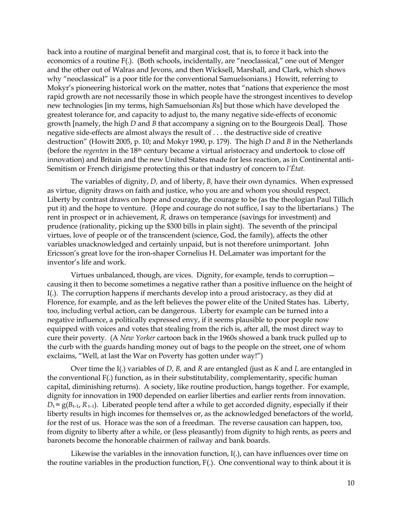back into a routine of marginal benefit and marginal cost, that is, to force it back into the economics of a routine F(.). (Both schools, incidentally, are "neoclassical," one out of Menger and the other out of Walras and Jevons, and then Wicksell, Marshall, and Clark, which shows why "neoclassical" is a poor title for the conventional Samuelsonians.) Howitt, referring to Mokyr's pioneering historical work on the matter, notes that "nations that experience the most rapid growth are not necessarily those in which people have the strongest incentives to develop new technologies [in my terms, high Samuelsonian *R*s] but those which have developed the greatest tolerance for, and capacity to adjust to, the many negative side-effects of economic growth [namely, the high *D* and *B* that accompany a signing on to the Bourgeois Deal]. Those negative side-effects are almost always the result of . . . the destructive side of creative destruction" (Howitt 2005, p. 10; and Mokyr 1990, p. 179). The high *D* and *B* in the Netherlands (before the *regenten* in the 18th century became a virtual aristocracy and undertook to close off innovation) and Britain and the new United States made for less reaction, as in Continental anti-Semitism or French dirigisme protecting this or that industry of concern to *l'État.*

The variables of dignity, *D,* and of liberty, *B,* have their own dynamics. When expressed as virtue, dignity draws on faith and justice, who you are and whom you should respect. Liberty by contrast draws on hope and courage, the courage to be (as the theologian Paul Tillich put it) and the hope to venture. (Hope and courage do not suffice, I say to the libertarians.) The rent in prospect or in achievement, *R,* draws on temperance (savings for investment) and prudence (rationality, picking up the \$300 bills in plain sight). The seventh of the principal virtues, love of people or of the transcendent (science, God, the family), affects the other variables unacknowledged and certainly unpaid, but is not therefore unimportant. John Ericsson's great love for the iron-shaper Cornelius H. DeLamater was important for the inventor's life and work.

Virtues unbalanced, though, are vices. Dignity, for example, tends to corruption causing it then to become sometimes a negative rather than a positive influence on the height of I(.). The corruption happens if merchants develop into a proud aristocracy, as they did at Florence, for example, and as the left believes the power elite of the United States has. Liberty, too, including verbal action, can be dangerous. Liberty for example can be turned into a negative influence, a politically expressed envy, if it seems plausible to poor people now equipped with voices and votes that stealing from the rich is, after all, the most direct way to cure their poverty. (A *New Yorker* cartoon back in the 1960s showed a bank truck pulled up to the curb with the guards handing money out of bags to the people on the street, one of whom exclaims, "Well, at last the War on Poverty has gotten under way!")

Over time the I(.) variables of *D, B,* and *R* are entangled (just as *K* and *L* are entangled in the conventional F(.) function, as in their substitutability, complementarity, specific human capital, diminishing returns). A society, like routine production, hangs together. For example, dignity for innovation in 1900 depended on earlier liberties and earlier rents from innovation.  $D_t = g(B_{t-1}, R_{t-1})$ . Liberated people tend after a while to get accorded dignity, especially if their liberty results in high incomes for themselves or, as the acknowledged benefactors of the world, for the rest of us. Horace was the son of a freedman. The reverse causation can happen, too, from dignity to liberty after a while, or (less pleasantly) from dignity to high rents, as peers and baronets become the honorable chairmen of railway and bank boards.

Likewise the variables in the innovation function, I(.), can have influences over time on the routine variables in the production function, F(.). One conventional way to think about it is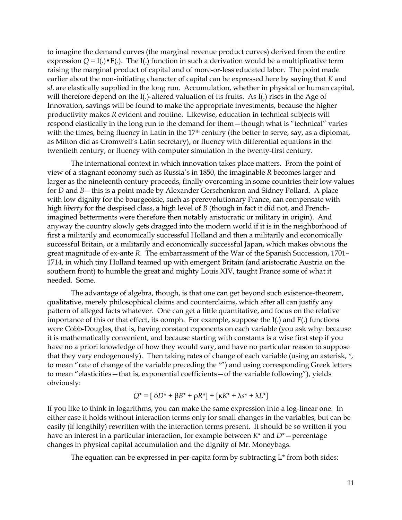to imagine the demand curves (the marginal revenue product curves) derived from the entire expression  $Q = I(.) \cdot F(.)$ . The I(.) function in such a derivation would be a multiplicative term raising the marginal product of capital and of more-or-less educated labor. The point made earlier about the non-initiating character of capital can be expressed here by saying that *K* and *sL* are elastically supplied in the long run. Accumulation, whether in physical or human capital, will therefore depend on the I(.)-altered valuation of its fruits. As I(.) rises in the Age of Innovation, savings will be found to make the appropriate investments, because the higher productivity makes *R* evident and routine. Likewise, education in technical subjects will respond elastically in the long run to the demand for them—though what is "technical" varies with the times, being fluency in Latin in the 17<sup>th</sup> century (the better to serve, say, as a diplomat, as Milton did as Cromwell's Latin secretary), or fluency with differential equations in the twentieth century, or fluency with computer simulation in the twenty-first century.

The international context in which innovation takes place matters. From the point of view of a stagnant economy such as Russia's in 1850, the imaginable *R* becomes larger and larger as the nineteenth century proceeds, finally overcoming in some countries their low values for *D* and *B*—this is a point made by Alexander Gerschenkron and Sidney Pollard. A place with low dignity for the bourgeoisie, such as prerevolutionary France, can compensate with high *liberty* for the despised class, a high level of *B* (though in fact it did not, and Frenchimagined betterments were therefore then notably aristocratic or military in origin). And anyway the country slowly gets dragged into the modern world if it is in the neighborhood of first a militarily and economically successful Holland and then a militarily and economically successful Britain, or a militarily and economically successful Japan, which makes obvious the great magnitude of ex-ante *R*. The embarrassment of the War of the Spanish Succession, 1701– 1714, in which tiny Holland teamed up with emergent Britain (and aristocratic Austria on the southern front) to humble the great and mighty Louis XIV, taught France some of what it needed. Some.

The advantage of algebra, though, is that one can get beyond such existence-theorem, qualitative, merely philosophical claims and counterclaims, which after all can justify any pattern of alleged facts whatever. One can get a little quantitative, and focus on the relative importance of this or that effect, its oomph. For example, suppose the I(.) and F(.) functions were Cobb-Douglas, that is, having constant exponents on each variable (you ask why: because it is mathematically convenient, and because starting with constants is a wise first step if you have no a priori knowledge of how they would vary, and have no particular reason to suppose that they vary endogenously). Then taking rates of change of each variable (using an asterisk, \*, to mean "rate of change of the variable preceding the \*") and using corresponding Greek letters to mean "elasticities—that is, exponential coefficients—of the variable following"), yields obviously:

$$
Q^* = [\delta D^* + \beta B^* + \rho R^*] + [\kappa K^* + \lambda S^* + \lambda L^*]
$$

If you like to think in logarithms, you can make the same expression into a log-linear one. In either case it holds without interaction terms only for small changes in the variables, but can be easily (if lengthily) rewritten with the interaction terms present. It should be so written if you have an interest in a particular interaction, for example between *K*\* and *D*\*—percentage changes in physical capital accumulation and the dignity of Mr. Moneybags.

The equation can be expressed in per-capita form by subtracting  $L^*$  from both sides: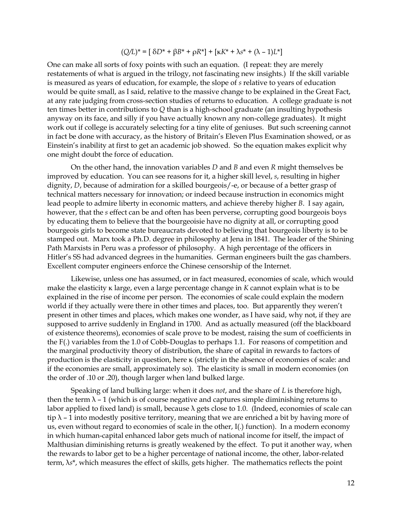$$
(Q/L)^* = [\delta D^* + \beta B^* + \rho R^*] + [\kappa K^* + \lambda s^* + (\lambda - 1)L^*]
$$

One can make all sorts of foxy points with such an equation. (I repeat: they are merely restatements of what is argued in the trilogy, not fascinating new insights.) If the skill variable is measured as years of education, for example, the slope of *s* relative to years of education would be quite small, as I said, relative to the massive change to be explained in the Great Fact, at any rate judging from cross-section studies of returns to education. A college graduate is not ten times better in contributions to *Q* than is a high-school graduate (an insulting hypothesis anyway on its face, and silly if you have actually known any non-college graduates). It might work out if college is accurately selecting for a tiny elite of geniuses. But such screening cannot in fact be done with accuracy, as the history of Britain's Eleven Plus Examination showed, or as Einstein's inability at first to get an academic job showed. So the equation makes explicit why one might doubt the force of education.

On the other hand, the innovation variables *D* and *B* and even *R* might themselves be improved by education. You can see reasons for it, a higher skill level, *s*, resulting in higher dignity, *D*, because of admiration for a skilled bourgeois/-e, or because of a better grasp of technical matters necessary for innovation; or indeed because instruction in economics might lead people to admire liberty in economic matters, and achieve thereby higher *B*. I say again, however, that the *s* effect can be and often has been perverse, corrupting good bourgeois boys by educating them to believe that the bourgeoisie have no dignity at all, or corrupting good bourgeois girls to become state bureaucrats devoted to believing that bourgeois liberty is to be stamped out. Marx took a Ph.D. degree in philosophy at Jena in 1841. The leader of the Shining Path Marxists in Peru was a professor of philosophy. A high percentage of the officers in Hitler's SS had advanced degrees in the humanities. German engineers built the gas chambers. Excellent computer engineers enforce the Chinese censorship of the Internet.

Likewise, unless one has assumed, or in fact measured, economies of scale, which would make the elasticity κ large, even a large percentage change in *K* cannot explain what is to be explained in the rise of income per person. The economies of scale could explain the modern world if they actually were there in other times and places, too. But apparently they weren't present in other times and places, which makes one wonder, as I have said, why not, if they are supposed to arrive suddenly in England in 1700. And as actually measured (off the blackboard of existence theorems), economies of scale prove to be modest, raising the sum of coefficients in the F(.) variables from the 1.0 of Cobb-Douglas to perhaps 1.1. For reasons of competition and the marginal productivity theory of distribution, the share of capital in rewards to factors of production is the elasticity in question, here κ (strictly in the absence of economies of scale: and if the economies are small, approximately so). The elasticity is small in modern economies (on the order of .10 or .20), though larger when land bulked large.

Speaking of land bulking large: when it does *not*, and the share of *L* is therefore high, then the term  $\lambda$  – 1 (which is of course negative and captures simple diminishing returns to labor applied to fixed land) is small, because  $\lambda$  gets close to 1.0. (Indeed, economies of scale can tip  $\lambda$  – 1 into modestly positive territory, meaning that we are enriched a bit by having more of us, even without regard to economies of scale in the other, I(.) function). In a modern economy in which human-capital enhanced labor gets much of national income for itself, the impact of Malthusian diminishing returns is greatly weakened by the effect. To put it another way, when the rewards to labor get to be a higher percentage of national income, the other, labor-related term, λ*s*\*, which measures the effect of skills, gets higher. The mathematics reflects the point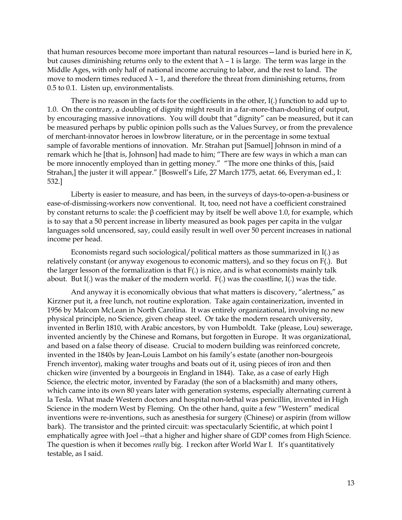that human resources become more important than natural resources—land is buried here in *K*, but causes diminishing returns only to the extent that  $\lambda$  – 1 is large. The term was large in the Middle Ages, with only half of national income accruing to labor, and the rest to land. The move to modern times reduced  $\lambda$  – 1, and therefore the threat from diminishing returns, from 0.5 to 0.1. Listen up, environmentalists.

There is no reason in the facts for the coefficients in the other, I(.) function to add up to 1.0. On the contrary, a doubling of dignity might result in a far-more-than-doubling of output, by encouraging massive innovations. You will doubt that "dignity" can be measured, but it can be measured perhaps by public opinion polls such as the Values Survey, or from the prevalence of merchant-innovator heroes in lowbrow literature, or in the percentage in some textual sample of favorable mentions of innovation. Mr. Strahan put [Samuel] Johnson in mind of a remark which he [that is, Johnson] had made to him; "There are few ways in which a man can be more innocently employed than in getting money." "The more one thinks of this, [said Strahan,] the juster it will appear." [Boswell's Life, 27 March 1775, aetat. 66, Everyman ed., I: 532.]

Liberty is easier to measure, and has been, in the surveys of days-to-open-a-business or ease-of-dismissing-workers now conventional. It, too, need not have a coefficient constrained by constant returns to scale: the β coefficient may by itself be well above 1.0, for example, which is to say that a 50 percent increase in liberty measured as book pages per capita in the vulgar languages sold uncensored, say, could easily result in well over 50 percent increases in national income per head.

Economists regard such sociological/political matters as those summarized in I(.) as relatively constant (or anyway exogenous to economic matters), and so they focus on F(.). But the larger lesson of the formalization is that F(.) is nice, and is what economists mainly talk about. But I(.) was the maker of the modern world.  $F(.)$  was the coastline, I(.) was the tide.

And anyway it is economically obvious that what matters is discovery, "alertness," as Kirzner put it, a free lunch, not routine exploration. Take again containerization, invented in 1956 by Malcom McLean in North Carolina. It was entirely organizational, involving no new physical principle, no Science, given cheap steel. Or take the modern research university, invented in Berlin 1810, with Arabic ancestors, by von Humboldt. Take (please, Lou) sewerage, invented anciently by the Chinese and Romans, but forgotten in Europe. It was organizational, and based on a false theory of disease. Crucial to modern building was reinforced concrete, invented in the 1840s by Jean-Louis Lambot on his family's estate (another non-bourgeois French inventor), making water troughs and boats out of it, using pieces of iron and then chicken wire (invented by a bourgeois in England in 1844). Take, as a case of early High Science, the electric motor, invented by Faraday (the son of a blacksmith) and many others, which came into its own 80 years later with generation systems, especially alternating current à la Tesla. What made Western doctors and hospital non-lethal was penicillin, invented in High Science in the modern West by Fleming. On the other hand, quite a few "Western" medical inventions were re-inventions, such as anesthesia for surgery (Chinese) or aspirin (from willow bark). The transistor and the printed circuit: was spectacularly Scientific, at which point I emphatically agree with Joel --that a higher and higher share of GDP comes from High Science. The question is when it becomes *really* big. I reckon after World War I. It's quantitatively testable, as I said.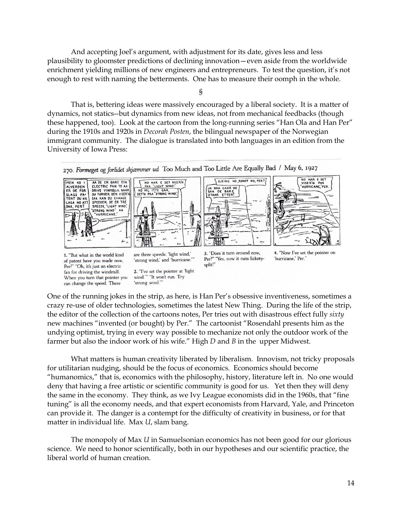And accepting Joel's argument, with adjustment for its date, gives less and less plausibility to gloomster predictions of declining innovation—even aside from the worldwide enrichment yielding millions of new engineers and entrepreneurs. To test the question, it's not enough to rest with naming the betterments. One has to measure their oomph in the whole.

§

That is, bettering ideas were massively encouraged by a liberal society. It is a matter of dynamics, not statics--but dynamics from new ideas, not from mechanical feedbacks (though these happened, too). Look at the cartoon from the long-running series "Han Ola and Han Per" during the 1910s and 1920s in *Decorah Posten*, the bilingual newspaper of the Norwegian immigrant community. The dialogue is translated into both languages in an edition from the University of Iowa Press:







of patent have you made now, Per?" "Oh, it's just an electric fan for driving the windmill. When you turn that pointer you can change the speed. There

'strong wind,' and 'hurricane.'"

## 2. "I've set the pointer at 'light<br>wind.'" "It won't run. Try 'strong wind.'"



4. "Now I've set the pointer on 'hurricane,' Per."

One of the running jokes in the strip, as here, is Han Per's obsessive inventiveness, sometimes a crazy re-use of older technologies, sometimes the latest New Thing. During the life of the strip, the editor of the collection of the cartoons notes, Per tries out with disastrous effect fully *sixty* new machines "invented (or bought) by Per." The cartoonist "Rosendahl presents him as the undying optimist, trying in every way possible to mechanize not only the outdoor work of the farmer but also the indoor work of his wife." High *D* and *B* in the upper Midwest.

What matters is human creativity liberated by liberalism. Innovism, not tricky proposals for utilitarian nudging, should be the focus of economics. Economics should become "humanomics," that is, economics with the philosophy, history, literature left in. No one would deny that having a free artistic or scientific community is good for us. Yet then they will deny the same in the economy. They think, as we Ivy League economists did in the 1960s, that "fine tuning" is all the economy needs, and that expert economists from Harvard, Yale, and Princeton can provide it. The danger is a contempt for the difficulty of creativity in business, or for that matter in individual life. Max *U*, slam bang.

The monopoly of Max *U* in Samuelsonian economics has not been good for our glorious science. We need to honor scientifically, both in our hypotheses and our scientific practice, the liberal world of human creation.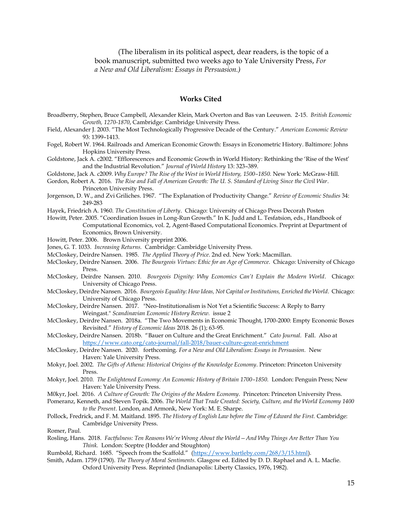(The liberalism in its political aspect, dear readers, is the topic of a book manuscript, submitted two weeks ago to Yale University Press, *For a New and Old Liberalism: Essays in Persuasion.)*

## **Works Cited**

- Broadberry, Stephen, Bruce Campbell, Alexander Klein, Mark Overton and Bas van Leeuwen. 2-15. *British Economic Growth, 1270-1870*, Cambridge: Cambridge University Press.
- Field, Alexander J. 2003. "The Most Technologically Progressive Decade of the Century." *American Economic Review*  93: 1399–1413.
- Fogel, Robert W. 1964. Railroads and American Economic Growth: Essays in Econometric History. Baltimore: Johns Hopkins University Press.
- Goldstone, Jack A. c2002. "Efflorescences and Economic Growth in World History: Rethinking the 'Rise of the West' and the Industrial Revolution." *Journal of World History* 13: 323–389.
- Goldstone, Jack A. c2009. *Why Europe? The Rise of the West in World History, 1500–1850.* New York: McGraw-Hill.
- Gordon, Robert A. 2016. *The Rise and Fall of American Growth: The U. S. Standard of Living Since the Civil War*. Princeton University Press.
- Jorgenson, D. W., and Zvi Griliches. 1967. "The Explanation of Productivity Change." *Review of Economic Studies* 34: 249-283
- Hayek, Friedrich A. 1960. *The Constitution of Liberty*. Chicago: University of Chicago Press Decorah Posten
- Howitt, Peter. 2005. "Coordination Issues in Long-Run Growth." In K. Judd and L. Tesfatsion, eds., Handbook of Computational Economics, vol. 2, Agent-Based Computational Economics. Preprint at Department of Economics, Brown University.
- Howitt, Peter. 2006. Brown University preprint 2006.
- Jones, G. T. 1033. *Increasing Returns.* Cambridge: Cambridge University Press.
- McCloskey, Deirdre Nansen. 1985. *The Applied Theory of Price*. 2nd ed. New York: Macmillan.
- McCloskey, Deirdre Nansen. 2006. *The Bourgeois Virtues: Ethic for an Age of Commerce*. Chicago: University of Chicago Press.
- McCloskey, Deirdre Nansen. 2010. *Bourgeois Dignity: Why Economics Can't Explain the Modern World*. Chicago: University of Chicago Press.
- McCloskey, Deirdre Nansen. 2016. *Bourgeois Equality: How Ideas, Not Capital or Institutions, Enriched the World*. Chicago: University of Chicago Press.
- McCloskey, Deirdre Nansen. 2017. "Neo-Institutionalism is Not Yet a Scientific Success: A Reply to Barry Weingast." *Scandinavian Economic History Review.* issue 2
- McCloskey, Deirdre Nansen. 2018a. "The Two Movements in Economic Thought, 1700-2000: Empty Economic Boxes Revisited." *History of Economic Ideas* 2018. 26 (1); 63-95.
- McCloskey, Deirdre Nansen. 2018b. "Bauer on Culture and the Great Enrichment." *Cato Journal.* Fall. Also at <https://www.cato.org/cato-journal/fall-2018/bauer-culture-great-enrichment>
- McCloskey, Deirdre Nansen. 2020. forthcoming. *For a New and Old Liberalism: Essays in Persuasion.* New Haven: Yale University Press.
- Mokyr, Joel. 2002. *The Gifts of Athena: Historical Origins of the Knowledge Economy*. Princeton: Princeton University Press.
- Mokyr, Joel. 2010. *The Enlightened Economy: An Economic History of Britain 1700–1850.* London: Penguin Press; New Haven: Yale University Press.
- M0kyr, Joel. 2016. *A Culture of Growth: The Origins of the Modern Economy*. Princeton: Princeton University Press.
- Pomeranz, Kenneth, and Steven Topik. 2006. *The World That Trade Created: Society, Culture, and the World Economy 1400 to the Present*. London, and Armonk, New York: M. E. Sharpe.
- Pollock, Fredrick, and F. M. Maitland. 1895. *The History of English Law before the Time of Edward the First.* Cambridge: Cambridge University Press.

Romer, Paul.

- Rosling, Hans. 2018. *Factfulness: Ten Reasons We're Wrong About the World—And Why Things Are Better Than You Think.* London: Sceptre (Hodder and Stoughton)
- Rumbold, Richard. 1685. "Speech from the Scaffold." [\(https://www.bartleby.com/268/3/15.html\)](https://www.bartleby.com/268/3/15.html).
- Smith, Adam. 1759 (1790). *The Theory of Moral Sentiments.* Glasgow ed. Edited by D. D. Raphael and A. L. Macfie. Oxford University Press. Reprinted (Indianapolis: Liberty Classics, 1976, 1982).